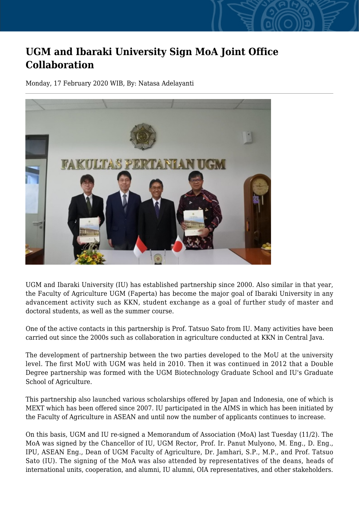## **UGM and Ibaraki University Sign MoA Joint Office Collaboration**

Monday, 17 February 2020 WIB, By: Natasa Adelayanti



UGM and Ibaraki University (IU) has established partnership since 2000. Also similar in that year, the Faculty of Agriculture UGM (Faperta) has become the major goal of Ibaraki University in any advancement activity such as KKN, student exchange as a goal of further study of master and doctoral students, as well as the summer course.

One of the active contacts in this partnership is Prof. Tatsuo Sato from IU. Many activities have been carried out since the 2000s such as collaboration in agriculture conducted at KKN in Central Java.

The development of partnership between the two parties developed to the MoU at the university level. The first MoU with UGM was held in 2010. Then it was continued in 2012 that a Double Degree partnership was formed with the UGM Biotechnology Graduate School and IU's Graduate School of Agriculture.

This partnership also launched various scholarships offered by Japan and Indonesia, one of which is MEXT which has been offered since 2007. IU participated in the AIMS in which has been initiated by the Faculty of Agriculture in ASEAN and until now the number of applicants continues to increase.

On this basis, UGM and IU re-signed a Memorandum of Association (MoA) last Tuesday (11/2). The MoA was signed by the Chancellor of IU, UGM Rector, Prof. Ir. Panut Mulyono, M. Eng., D. Eng., IPU, ASEAN Eng., Dean of UGM Faculty of Agriculture, Dr. Jamhari, S.P., M.P., and Prof. Tatsuo Sato (IU). The signing of the MoA was also attended by representatives of the deans, heads of international units, cooperation, and alumni, IU alumni, OIA representatives, and other stakeholders.